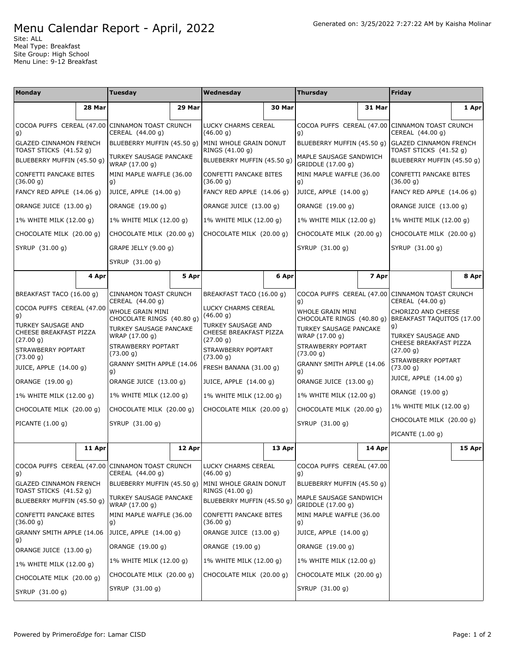## Menu Calendar Report - April, 2022

Site: ALL Meal Type: Breakfast Site Group: High School Menu Line: 9-12 Breakfast

| Monday                                                           |        | <b>Tuesday</b>                                                      |        | Wednesday                                                 |        | <b>Thursday</b>                                      |        | Friday                                                              |        |
|------------------------------------------------------------------|--------|---------------------------------------------------------------------|--------|-----------------------------------------------------------|--------|------------------------------------------------------|--------|---------------------------------------------------------------------|--------|
|                                                                  | 28 Mar |                                                                     | 29 Mar |                                                           | 30 Mar |                                                      | 31 Mar |                                                                     | 1 Apr  |
| g)                                                               |        | COCOA PUFFS CEREAL (47.00 CINNAMON TOAST CRUNCH<br>CEREAL (44.00 g) |        | LUCKY CHARMS CEREAL<br>(46.00 g)                          |        | g)                                                   |        | COCOA PUFFS CEREAL (47.00 CINNAMON TOAST CRUNCH<br>CEREAL (44.00 g) |        |
| <b>GLAZED CINNAMON FRENCH</b><br>TOAST STICKS (41.52 g)          |        | BLUEBERRY MUFFIN (45.50 g)                                          |        | MINI WHOLE GRAIN DONUT<br>RINGS (41.00 g)                 |        | BLUEBERRY MUFFIN (45.50 g)                           |        | <b>GLAZED CINNAMON FRENCH</b><br>TOAST STICKS (41.52 g)             |        |
| BLUEBERRY MUFFIN (45.50 g)                                       |        | TURKEY SAUSAGE PANCAKE<br>WRAP (17.00 g)                            |        | BLUEBERRY MUFFIN (45.50 g)                                |        | MAPLE SAUSAGE SANDWICH<br>GRIDDLE (17.00 g)          |        | BLUEBERRY MUFFIN (45.50 g)                                          |        |
| <b>CONFETTI PANCAKE BITES</b><br>(36.00 g)                       |        | MINI MAPLE WAFFLE (36.00<br>g)                                      |        | CONFETTI PANCAKE BITES<br>(36.00 g)                       |        | MINI MAPLE WAFFLE (36.00<br>g)                       |        | CONFETTI PANCAKE BITES<br>(36.00 q)                                 |        |
| FANCY RED APPLE (14.06 q)                                        |        | JUICE, APPLE (14.00 g)                                              |        | FANCY RED APPLE (14.06 g)                                 |        | JUICE, APPLE (14.00 g)                               |        | FANCY RED APPLE (14.06 q)                                           |        |
| ORANGE JUICE (13.00 g)                                           |        | ORANGE (19.00 g)                                                    |        | ORANGE JUICE (13.00 g)                                    |        | ORANGE (19.00 g)                                     |        | ORANGE JUICE (13.00 q)                                              |        |
| 1% WHITE MILK (12.00 g)                                          |        | 1% WHITE MILK (12.00 g)                                             |        | 1% WHITE MILK (12.00 g)                                   |        | 1% WHITE MILK (12.00 g)                              |        | 1% WHITE MILK (12.00 g)                                             |        |
| CHOCOLATE MILK (20.00 g)                                         |        | CHOCOLATE MILK (20.00 g)                                            |        | CHOCOLATE MILK (20.00 g)                                  |        | CHOCOLATE MILK (20.00 g)                             |        | CHOCOLATE MILK (20.00 g)                                            |        |
| SYRUP (31.00 g)                                                  |        | GRAPE JELLY (9.00 g)                                                |        |                                                           |        | SYRUP (31.00 g)                                      |        | SYRUP (31.00 g)                                                     |        |
|                                                                  |        | SYRUP (31.00 g)                                                     |        |                                                           |        |                                                      |        |                                                                     |        |
|                                                                  | 4 Apr  |                                                                     | 5 Apr  |                                                           | 6 Apr  |                                                      | 7 Apr  |                                                                     | 8 Apr  |
| BREAKFAST TACO (16.00 g)                                         |        | CINNAMON TOAST CRUNCH<br>CEREAL (44.00 g)                           |        | BREAKFAST TACO (16.00 q)                                  |        | g)                                                   |        | COCOA PUFFS CEREAL (47.00 CINNAMON TOAST CRUNCH<br>CEREAL (44.00 g) |        |
| COCOA PUFFS CEREAL (47.00<br>g)                                  |        | WHOLE GRAIN MINI<br>CHOCOLATE RINGS (40.80 g)                       |        | LUCKY CHARMS CEREAL<br>(46.00 g)                          |        | <b>WHOLE GRAIN MINI</b><br>CHOCOLATE RINGS (40.80 g) |        | CHORIZO AND CHEESE<br>BREAKFAST TAQUITOS (17.00                     |        |
| <b>TURKEY SAUSAGE AND</b><br>CHEESE BREAKFAST PIZZA<br>(27.00 g) |        | TURKEY SAUSAGE PANCAKE<br>WRAP (17.00 g)                            |        | TURKEY SAUSAGE AND<br>CHEESE BREAKFAST PIZZA<br>(27.00 g) |        | TURKEY SAUSAGE PANCAKE<br>WRAP (17.00 g)             |        | g)<br>TURKEY SAUSAGE AND                                            |        |
| STRAWBERRY POPTART<br>(73.00 g)                                  |        | STRAWBERRY POPTART<br>(73.00 g)                                     |        | STRAWBERRY POPTART<br>(73.00 g)                           |        | STRAWBERRY POPTART<br>(73.00 g)                      |        | CHEESE BREAKFAST PIZZA<br>(27.00 g)<br>STRAWBERRY POPTART           |        |
| JUICE, APPLE (14.00 g)                                           |        | GRANNY SMITH APPLE (14.06<br>g)                                     |        | FRESH BANANA (31.00 g)                                    |        | GRANNY SMITH APPLE (14.06<br>g)                      |        | (73.00 g)                                                           |        |
| ORANGE (19.00 g)                                                 |        | ORANGE JUICE (13.00 g)                                              |        | JUICE, APPLE (14.00 g)                                    |        | ORANGE JUICE (13.00 g)                               |        | JUICE, APPLE (14.00 g)                                              |        |
| 1% WHITE MILK (12.00 g)                                          |        | 1% WHITE MILK (12.00 g)                                             |        | 1% WHITE MILK (12.00 g)                                   |        | 1% WHITE MILK (12.00 g)                              |        | ORANGE (19.00 g)                                                    |        |
| CHOCOLATE MILK (20.00 q)                                         |        | CHOCOLATE MILK (20.00 g)                                            |        | CHOCOLATE MILK (20.00 g)                                  |        | CHOCOLATE MILK (20.00 g)                             |        | 1% WHITE MILK (12.00 g)                                             |        |
| PICANTE (1.00 g)                                                 |        | SYRUP (31.00 g)                                                     |        |                                                           |        | SYRUP (31.00 g)                                      |        | CHOCOLATE MILK (20.00 q)                                            |        |
|                                                                  |        |                                                                     |        |                                                           |        |                                                      |        | PICANTE $(1.00 g)$                                                  |        |
|                                                                  | 11 Apr |                                                                     | 12 Apr |                                                           | 13 Apr |                                                      | 14 Apr |                                                                     | 15 Apr |
| g)                                                               |        | COCOA PUFFS CEREAL (47.00 CINNAMON TOAST CRUNCH<br>CEREAL (44.00 g) |        | LUCKY CHARMS CEREAL<br>(46.00 g)                          |        | COCOA PUFFS CEREAL (47.00<br>g)                      |        |                                                                     |        |
| <b>GLAZED CINNAMON FRENCH</b><br>TOAST STICKS (41.52 g)          |        | BLUEBERRY MUFFIN (45.50 g)                                          |        | MINI WHOLE GRAIN DONUT<br>RINGS (41.00 g)                 |        | BLUEBERRY MUFFIN (45.50 g)                           |        |                                                                     |        |
| BLUEBERRY MUFFIN (45.50 g)                                       |        | TURKEY SAUSAGE PANCAKE<br>WRAP (17.00 g)                            |        | BLUEBERRY MUFFIN (45.50 g)                                |        | MAPLE SAUSAGE SANDWICH<br>GRIDDLE (17.00 g)          |        |                                                                     |        |
| CONFETTI PANCAKE BITES<br>(36.00 g)                              |        | MINI MAPLE WAFFLE (36.00<br>g)                                      |        | CONFETTI PANCAKE BITES<br>(36.00 g)                       |        | MINI MAPLE WAFFLE (36.00<br>g)                       |        |                                                                     |        |
| GRANNY SMITH APPLE (14.06<br>g)                                  |        | JUICE, APPLE (14.00 g)                                              |        | ORANGE JUICE (13.00 g)                                    |        | JUICE, APPLE (14.00 g)                               |        |                                                                     |        |
| ORANGE JUICE (13.00 g)                                           |        | ORANGE (19.00 g)                                                    |        | ORANGE (19.00 g)                                          |        | ORANGE (19.00 g)                                     |        |                                                                     |        |
| 1% WHITE MILK (12.00 g)                                          |        | 1% WHITE MILK (12.00 g)                                             |        | 1% WHITE MILK (12.00 g)                                   |        | 1% WHITE MILK (12.00 g)                              |        |                                                                     |        |
| CHOCOLATE MILK (20.00 g)                                         |        | CHOCOLATE MILK (20.00 g)                                            |        | CHOCOLATE MILK (20.00 g)                                  |        | CHOCOLATE MILK (20.00 g)                             |        |                                                                     |        |
| SYRUP (31.00 g)                                                  |        | SYRUP (31.00 g)                                                     |        |                                                           |        | SYRUP (31.00 g)                                      |        |                                                                     |        |